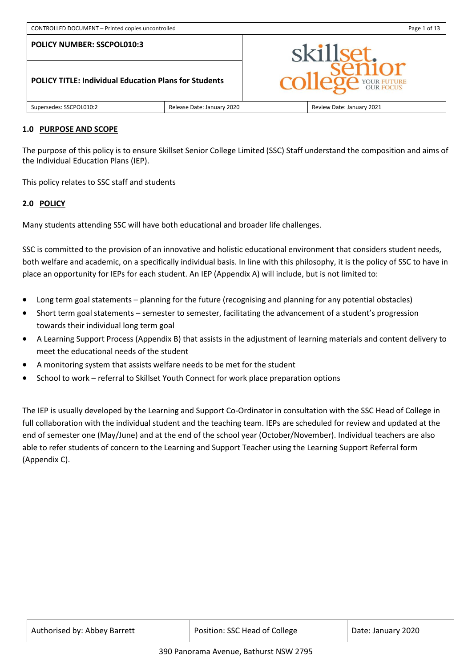**POLICY TITLE: Individual Education Plans for Students**



## **1.0 PURPOSE AND SCOPE**

Supersedes: SSCPOL010:2 Release Date: January 2020 Review Date: January 2021

## The purpose of this policy is to ensure Skillset Senior College Limited (SSC) Staff understand the composition and aims of the Individual Education Plans (IEP).

This policy relates to SSC staff and students

#### **2.0 POLICY**

Many students attending SSC will have both educational and broader life challenges.

SSC is committed to the provision of an innovative and holistic educational environment that considers student needs, both welfare and academic, on a specifically individual basis. In line with this philosophy, it is the policy of SSC to have in place an opportunity for IEPs for each student. An IEP (Appendix A) will include, but is not limited to:

- Long term goal statements planning for the future (recognising and planning for any potential obstacles)
- Short term goal statements semester to semester, facilitating the advancement of a student's progression towards their individual long term goal
- A Learning Support Process (Appendix B) that assists in the adjustment of learning materials and content delivery to meet the educational needs of the student
- A monitoring system that assists welfare needs to be met for the student
- School to work referral to Skillset Youth Connect for work place preparation options

The IEP is usually developed by the Learning and Support Co-Ordinator in consultation with the SSC Head of College in full collaboration with the individual student and the teaching team. IEPs are scheduled for review and updated at the end of semester one (May/June) and at the end of the school year (October/November). Individual teachers are also able to refer students of concern to the Learning and Support Teacher using the Learning Support Referral form (Appendix C).

| Authorised by: Abbey Barrett | Position: SSC Head of College | Date: January 2020 |
|------------------------------|-------------------------------|--------------------|
|------------------------------|-------------------------------|--------------------|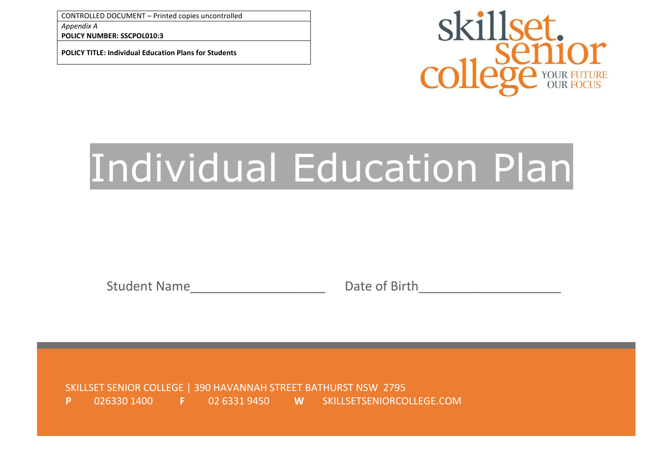**POLICY NUMBER: SSCPOL010:3**

**POLICY TITLE: Individual Education Plans for Students**



# Individual Education Plan

Student Name The Date of Birth

SKILLSET SENIOR COLLEGE | 390 HAVANNAH STREET BATHURST NSW 2795 **P** 026330 1400 **F** 02 6331 9450 **W** SKILLSETSENIORCOLLEGE.COM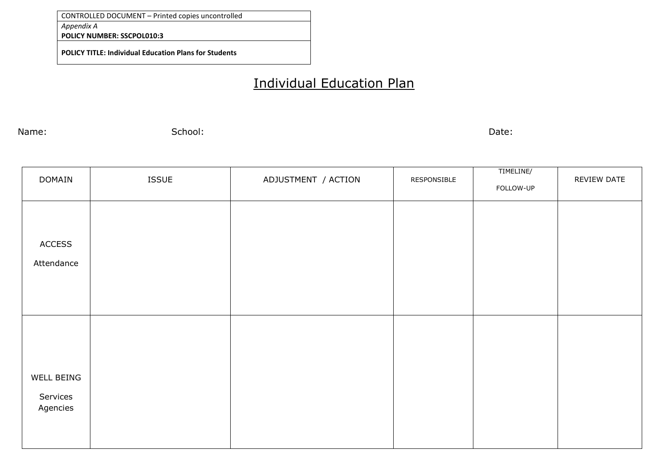**POLICY NUMBER: SSCPOL010:3**

**POLICY TITLE: Individual Education Plans for Students**

## Individual Education Plan

Name: School: Date:

| <b>DOMAIN</b>                      | <b>ISSUE</b> | ADJUSTMENT / ACTION | RESPONSIBLE | TIMELINE/<br>FOLLOW-UP | REVIEW DATE |
|------------------------------------|--------------|---------------------|-------------|------------------------|-------------|
| <b>ACCESS</b><br>Attendance        |              |                     |             |                        |             |
| WELL BEING<br>Services<br>Agencies |              |                     |             |                        |             |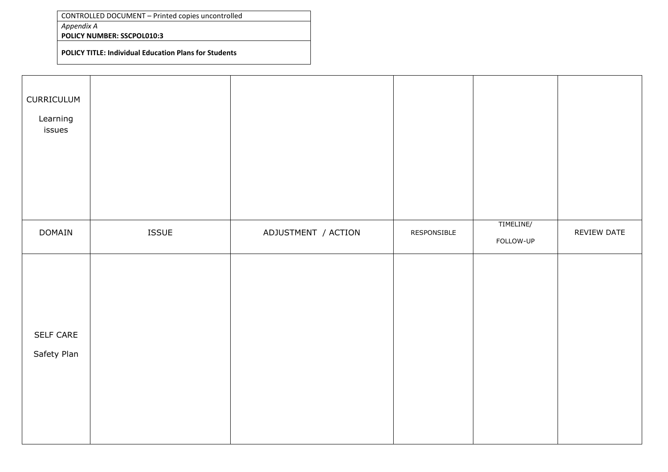*Appendix A*

**POLICY NUMBER: SSCPOL010:3**

**POLICY TITLE: Individual Education Plans for Students**

| CURRICULUM<br>Learning<br>issues |       |                     |             |                        |             |
|----------------------------------|-------|---------------------|-------------|------------------------|-------------|
| DOMAIN                           | ISSUE | ADJUSTMENT / ACTION | RESPONSIBLE | TIMELINE/<br>FOLLOW-UP | REVIEW DATE |
| SELF CARE<br>Safety Plan         |       |                     |             |                        |             |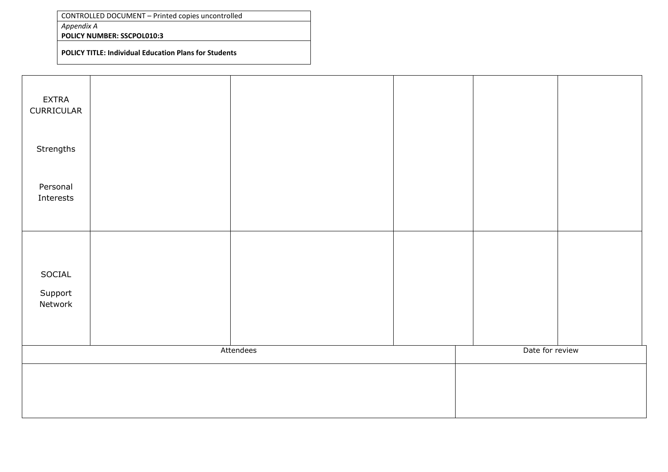*Appendix A*

**POLICY NUMBER: SSCPOL010:3**

**POLICY TITLE: Individual Education Plans for Students**

| <b>EXTRA</b><br>CURRICULAR   |           |                 |  |
|------------------------------|-----------|-----------------|--|
| Strengths                    |           |                 |  |
| Personal<br>Interests        |           |                 |  |
| SOCIAL<br>Support<br>Network |           |                 |  |
|                              | Attendees | Date for review |  |
|                              |           |                 |  |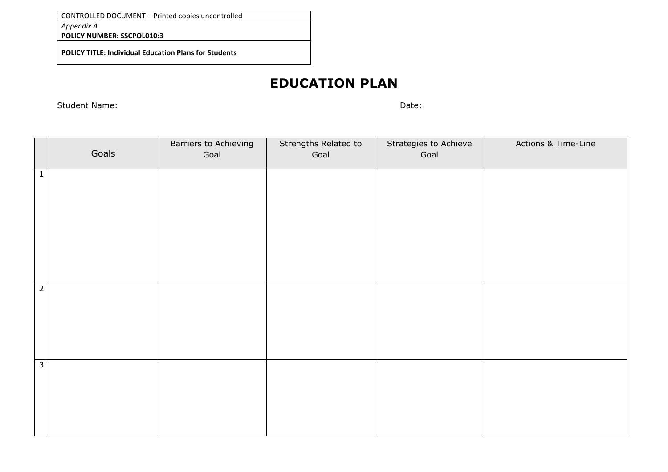*Appendix A*

**POLICY NUMBER: SSCPOL010:3**

**POLICY TITLE: Individual Education Plans for Students**

## **EDUCATION PLAN**

Student Name: Date: Date: Date: Date: Date: Date: Date: Date: Date: Date: Date: Date: Date: Date: Date: Date: Date: Date: Date: Date: Date: Date: Date: Date: Date: Date: Date: Date: Date: Date: Date: Date: Date: Date: Date

|                         | Goals | Barriers to Achieving<br>Goal | Strengths Related to<br>Goal | Strategies to Achieve<br>Goal | Actions & Time-Line |
|-------------------------|-------|-------------------------------|------------------------------|-------------------------------|---------------------|
| $\mathbf{1}$            |       |                               |                              |                               |                     |
| $\overline{2}$          |       |                               |                              |                               |                     |
| $\overline{\mathbf{3}}$ |       |                               |                              |                               |                     |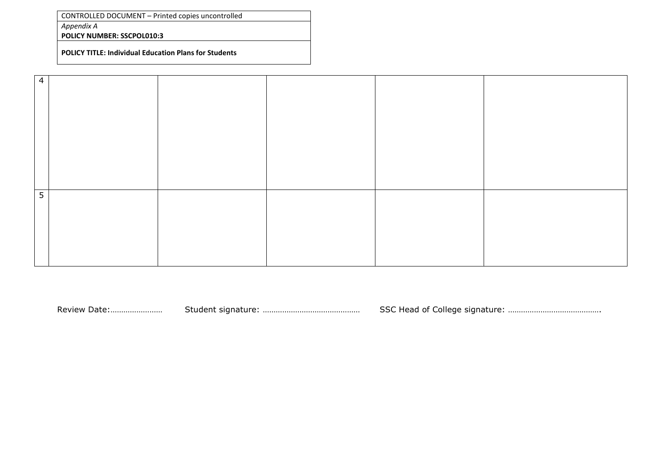*Appendix A*

**POLICY NUMBER: SSCPOL010:3**

**POLICY TITLE: Individual Education Plans for Students**

| $\sqrt{4}$     |  |  |  |
|----------------|--|--|--|
|                |  |  |  |
|                |  |  |  |
|                |  |  |  |
|                |  |  |  |
|                |  |  |  |
|                |  |  |  |
|                |  |  |  |
| $\overline{5}$ |  |  |  |
|                |  |  |  |
|                |  |  |  |
|                |  |  |  |
|                |  |  |  |

Review Date:…………………… Student signature: ……………………………………… SSC Head of College signature: …………………………………….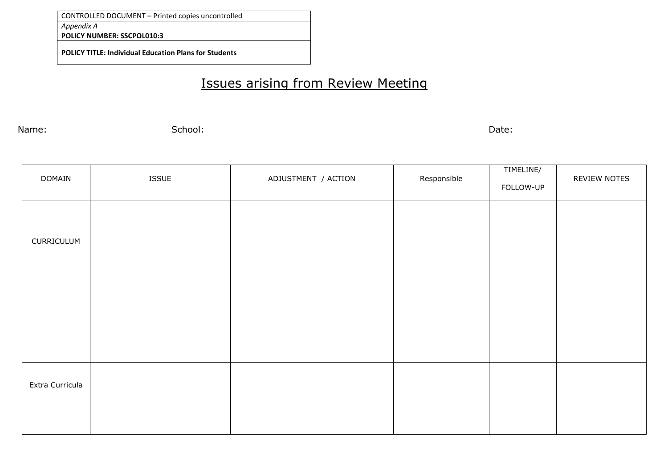**POLICY NUMBER: SSCPOL010:3**

**POLICY TITLE: Individual Education Plans for Students**

## Issues arising from Review Meeting

Name: School: Date:

| DOMAIN          | <b>ISSUE</b> | ADJUSTMENT / ACTION | Responsible | TIMELINE/<br>FOLLOW-UP | REVIEW NOTES |
|-----------------|--------------|---------------------|-------------|------------------------|--------------|
| CURRICULUM      |              |                     |             |                        |              |
|                 |              |                     |             |                        |              |
| Extra Curricula |              |                     |             |                        |              |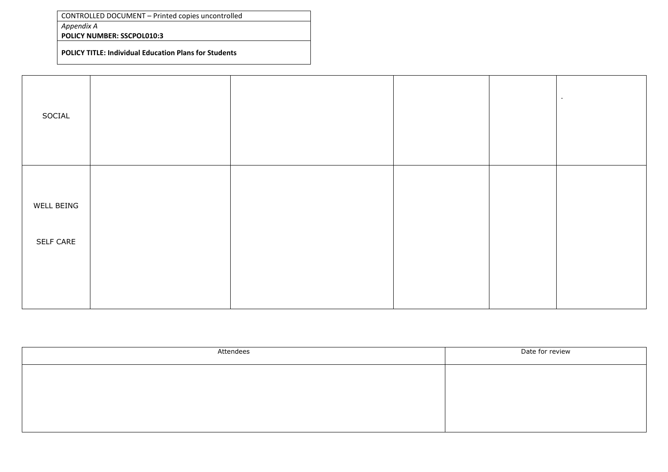*Appendix A*

**POLICY NUMBER: SSCPOL010:3**

**POLICY TITLE: Individual Education Plans for Students**

| SOCIAL     |  |  |  |
|------------|--|--|--|
| WELL BEING |  |  |  |
| SELF CARE  |  |  |  |

| Attendees | Date for review |
|-----------|-----------------|
|           |                 |
|           |                 |
|           |                 |
|           |                 |
|           |                 |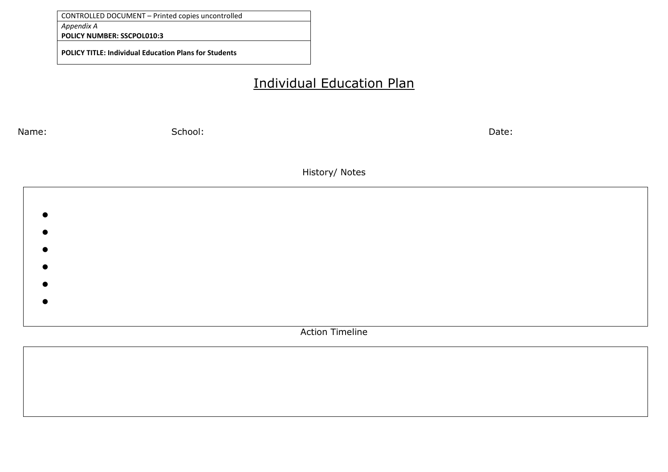**POLICY NUMBER: SSCPOL010:3**

**POLICY TITLE: Individual Education Plans for Students**

## Individual Education Plan

Name: School: Date: History/ Notes  $\bullet$  $\bullet$  $\bullet$  $\bullet$  $\bullet$  $\bullet$ Action Timeline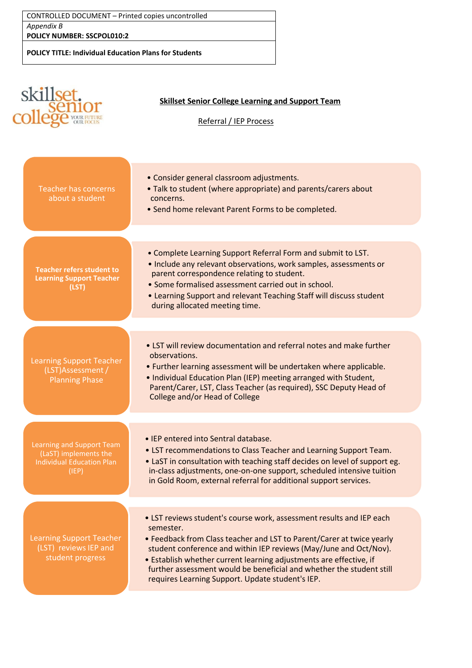| CONTROLLED DOCUMENT - Printed copies uncontrolled            |
|--------------------------------------------------------------|
| Appendix B                                                   |
| <b>POLICY NUMBER: SSCPOL010:2</b>                            |
| <b>POLICY TITLE: Individual Education Plans for Students</b> |

|                                                                                                 | <b>Skillset Senior College Learning and Support Team</b><br>Referral / IEP Process                                                                                                                                                                                                                                                                                                                                                |
|-------------------------------------------------------------------------------------------------|-----------------------------------------------------------------------------------------------------------------------------------------------------------------------------------------------------------------------------------------------------------------------------------------------------------------------------------------------------------------------------------------------------------------------------------|
| <b>Teacher has concerns</b><br>about a student                                                  | • Consider general classroom adjustments.<br>. Talk to student (where appropriate) and parents/carers about<br>concerns.<br>• Send home relevant Parent Forms to be completed.                                                                                                                                                                                                                                                    |
| <b>Teacher refers student to</b><br><b>Learning Support Teacher</b><br>(LST)                    | . Complete Learning Support Referral Form and submit to LST.<br>• Include any relevant observations, work samples, assessments or<br>parent correspondence relating to student.<br>• Some formalised assessment carried out in school.<br>• Learning Support and relevant Teaching Staff will discuss student<br>during allocated meeting time.                                                                                   |
| <b>Learning Support Teacher</b><br>(LST)Assessment /<br><b>Planning Phase</b>                   | • LST will review documentation and referral notes and make further<br>observations.<br>• Further learning assessment will be undertaken where applicable.<br>. Individual Education Plan (IEP) meeting arranged with Student,<br>Parent/Carer, LST, Class Teacher (as required), SSC Deputy Head of<br>College and/or Head of College                                                                                            |
| Learning and Support Team<br>(LaST) implements the<br><b>Individual Education Plan</b><br>(IEP) | • IEP entered into Sentral database<br>• LST recommendations to Class Teacher and Learning Support Team.<br>. LaST in consultation with teaching staff decides on level of support eg.<br>in-class adjustments, one-on-one support, scheduled intensive tuition<br>in Gold Room, external referral for additional support services.                                                                                               |
| <b>Learning Support Teacher</b><br>(LST) reviews IEP and<br>student progress                    | • LST reviews student's course work, assessment results and IEP each<br>semester.<br>• Feedback from Class teacher and LST to Parent/Carer at twice yearly<br>student conference and within IEP reviews (May/June and Oct/Nov).<br>• Establish whether current learning adjustments are effective, if<br>further assessment would be beneficial and whether the student still<br>requires Learning Support. Update student's IEP. |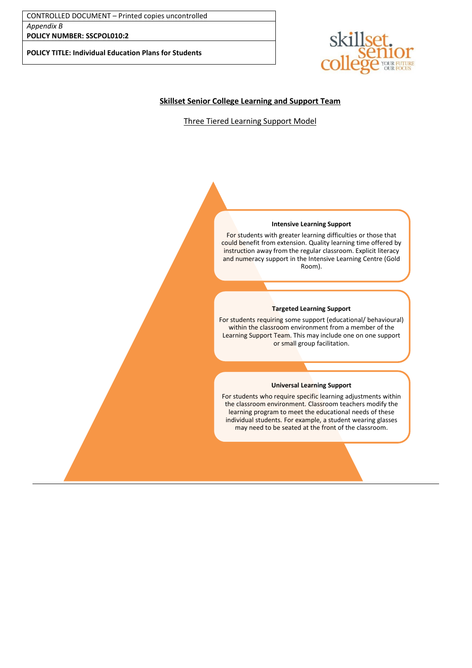**POLICY NUMBER: SSCPOL010:2**

**POLICY TITLE: Individual Education Plans for Students**



#### **Skillset Senior College Learning and Support Team**

Three Tiered Learning Support Model

#### **Intensive Learning Support**

For students with greater learning difficulties or those that could benefit from extension. Quality learning time offered by instruction away from the regular classroom. Explicit literacy and numeracy support in the Intensive Learning Centre (Gold Room).

#### **Targeted Learning Support**

For students requiring some support (educational/ behavioural) within the classroom environment from a member of the Learning Support Team. This may include one on one support or small group facilitation.

#### **Universal Learning Support**

For students who require specific learning adjustments within the classroom environment. Classroom teachers modify the learning program to meet the educational needs of these individual students. For example, a student wearing glasses may need to be seated at the front of the classroom.